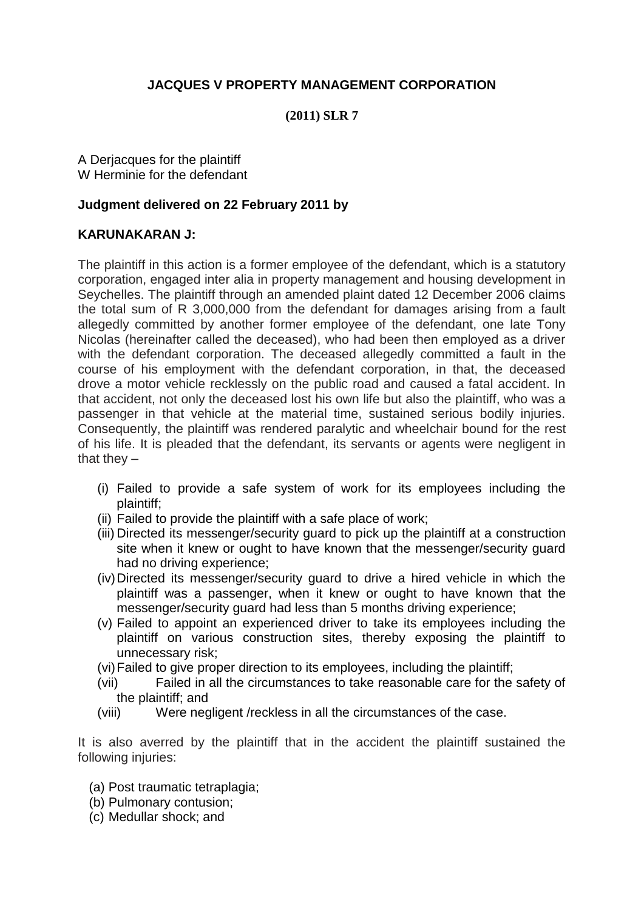# **JACQUES V PROPERTY MANAGEMENT CORPORATION**

#### **(2011) SLR 7**

A Derjacques for the plaintiff W Herminie for the defendant

#### **Judgment delivered on 22 February 2011 by**

## **KARUNAKARAN J:**

The plaintiff in this action is a former employee of the defendant, which is a statutory corporation, engaged inter alia in property management and housing development in Seychelles. The plaintiff through an amended plaint dated 12 December 2006 claims the total sum of R 3,000,000 from the defendant for damages arising from a fault allegedly committed by another former employee of the defendant, one late Tony Nicolas (hereinafter called the deceased), who had been then employed as a driver with the defendant corporation. The deceased allegedly committed a fault in the course of his employment with the defendant corporation, in that, the deceased drove a motor vehicle recklessly on the public road and caused a fatal accident. In that accident, not only the deceased lost his own life but also the plaintiff, who was a passenger in that vehicle at the material time, sustained serious bodily injuries. Consequently, the plaintiff was rendered paralytic and wheelchair bound for the rest of his life. It is pleaded that the defendant, its servants or agents were negligent in that they  $-$ 

- (i) Failed to provide a safe system of work for its employees including the plaintiff;
- (ii) Failed to provide the plaintiff with a safe place of work;
- (iii) Directed its messenger/security guard to pick up the plaintiff at a construction site when it knew or ought to have known that the messenger/security guard had no driving experience;
- (iv)Directed its messenger/security guard to drive a hired vehicle in which the plaintiff was a passenger, when it knew or ought to have known that the messenger/security guard had less than 5 months driving experience;
- (v) Failed to appoint an experienced driver to take its employees including the plaintiff on various construction sites, thereby exposing the plaintiff to unnecessary risk;
- (vi)Failed to give proper direction to its employees, including the plaintiff;
- (vii) Failed in all the circumstances to take reasonable care for the safety of the plaintiff; and
- (viii) Were negligent /reckless in all the circumstances of the case.

It is also averred by the plaintiff that in the accident the plaintiff sustained the following injuries:

- (a) Post traumatic tetraplagia;
- (b) Pulmonary contusion;
- (c) Medullar shock; and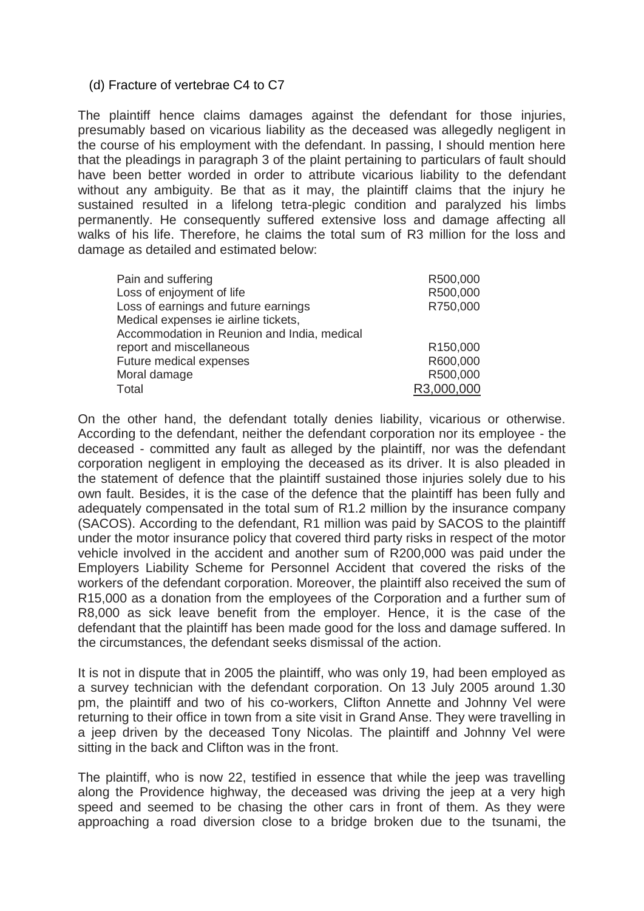#### (d) Fracture of vertebrae C4 to C7

The plaintiff hence claims damages against the defendant for those injuries, presumably based on vicarious liability as the deceased was allegedly negligent in the course of his employment with the defendant. In passing, I should mention here that the pleadings in paragraph 3 of the plaint pertaining to particulars of fault should have been better worded in order to attribute vicarious liability to the defendant without any ambiguity. Be that as it may, the plaintiff claims that the injury he sustained resulted in a lifelong tetra-plegic condition and paralyzed his limbs permanently. He consequently suffered extensive loss and damage affecting all walks of his life. Therefore, he claims the total sum of R3 million for the loss and damage as detailed and estimated below:

| R500,000   |
|------------|
|            |
| R750,000   |
|            |
|            |
| R150,000   |
| R600,000   |
| R500,000   |
| R3,000,000 |
|            |

On the other hand, the defendant totally denies liability, vicarious or otherwise. According to the defendant, neither the defendant corporation nor its employee - the deceased - committed any fault as alleged by the plaintiff, nor was the defendant corporation negligent in employing the deceased as its driver. It is also pleaded in the statement of defence that the plaintiff sustained those injuries solely due to his own fault. Besides, it is the case of the defence that the plaintiff has been fully and adequately compensated in the total sum of R1.2 million by the insurance company (SACOS). According to the defendant, R1 million was paid by SACOS to the plaintiff under the motor insurance policy that covered third party risks in respect of the motor vehicle involved in the accident and another sum of R200,000 was paid under the Employers Liability Scheme for Personnel Accident that covered the risks of the workers of the defendant corporation. Moreover, the plaintiff also received the sum of R15,000 as a donation from the employees of the Corporation and a further sum of R8,000 as sick leave benefit from the employer. Hence, it is the case of the defendant that the plaintiff has been made good for the loss and damage suffered. In the circumstances, the defendant seeks dismissal of the action.

It is not in dispute that in 2005 the plaintiff, who was only 19, had been employed as a survey technician with the defendant corporation. On 13 July 2005 around 1.30 pm, the plaintiff and two of his co-workers, Clifton Annette and Johnny Vel were returning to their office in town from a site visit in Grand Anse. They were travelling in a jeep driven by the deceased Tony Nicolas. The plaintiff and Johnny Vel were sitting in the back and Clifton was in the front.

The plaintiff, who is now 22, testified in essence that while the jeep was travelling along the Providence highway, the deceased was driving the jeep at a very high speed and seemed to be chasing the other cars in front of them. As they were approaching a road diversion close to a bridge broken due to the tsunami, the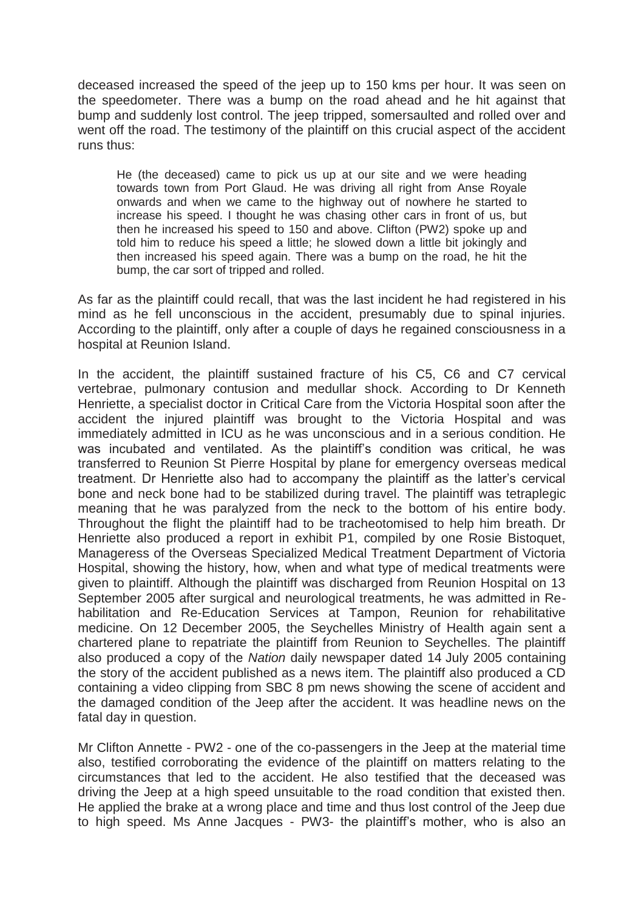deceased increased the speed of the jeep up to 150 kms per hour. It was seen on the speedometer. There was a bump on the road ahead and he hit against that bump and suddenly lost control. The jeep tripped, somersaulted and rolled over and went off the road. The testimony of the plaintiff on this crucial aspect of the accident runs thus:

He (the deceased) came to pick us up at our site and we were heading towards town from Port Glaud. He was driving all right from Anse Royale onwards and when we came to the highway out of nowhere he started to increase his speed. I thought he was chasing other cars in front of us, but then he increased his speed to 150 and above. Clifton (PW2) spoke up and told him to reduce his speed a little; he slowed down a little bit jokingly and then increased his speed again. There was a bump on the road, he hit the bump, the car sort of tripped and rolled.

As far as the plaintiff could recall, that was the last incident he had registered in his mind as he fell unconscious in the accident, presumably due to spinal injuries. According to the plaintiff, only after a couple of days he regained consciousness in a hospital at Reunion Island.

In the accident, the plaintiff sustained fracture of his C5, C6 and C7 cervical vertebrae, pulmonary contusion and medullar shock. According to Dr Kenneth Henriette, a specialist doctor in Critical Care from the Victoria Hospital soon after the accident the injured plaintiff was brought to the Victoria Hospital and was immediately admitted in ICU as he was unconscious and in a serious condition. He was incubated and ventilated. As the plaintiff's condition was critical, he was transferred to Reunion St Pierre Hospital by plane for emergency overseas medical treatment. Dr Henriette also had to accompany the plaintiff as the latter's cervical bone and neck bone had to be stabilized during travel. The plaintiff was tetraplegic meaning that he was paralyzed from the neck to the bottom of his entire body. Throughout the flight the plaintiff had to be tracheotomised to help him breath. Dr Henriette also produced a report in exhibit P1, compiled by one Rosie Bistoquet, Manageress of the Overseas Specialized Medical Treatment Department of Victoria Hospital, showing the history, how, when and what type of medical treatments were given to plaintiff. Although the plaintiff was discharged from Reunion Hospital on 13 September 2005 after surgical and neurological treatments, he was admitted in Rehabilitation and Re-Education Services at Tampon, Reunion for rehabilitative medicine. On 12 December 2005, the Seychelles Ministry of Health again sent a chartered plane to repatriate the plaintiff from Reunion to Seychelles. The plaintiff also produced a copy of the *Nation* daily newspaper dated 14 July 2005 containing the story of the accident published as a news item. The plaintiff also produced a CD containing a video clipping from SBC 8 pm news showing the scene of accident and the damaged condition of the Jeep after the accident. It was headline news on the fatal day in question.

Mr Clifton Annette - PW2 - one of the co-passengers in the Jeep at the material time also, testified corroborating the evidence of the plaintiff on matters relating to the circumstances that led to the accident. He also testified that the deceased was driving the Jeep at a high speed unsuitable to the road condition that existed then. He applied the brake at a wrong place and time and thus lost control of the Jeep due to high speed. Ms Anne Jacques - PW3- the plaintiff's mother, who is also an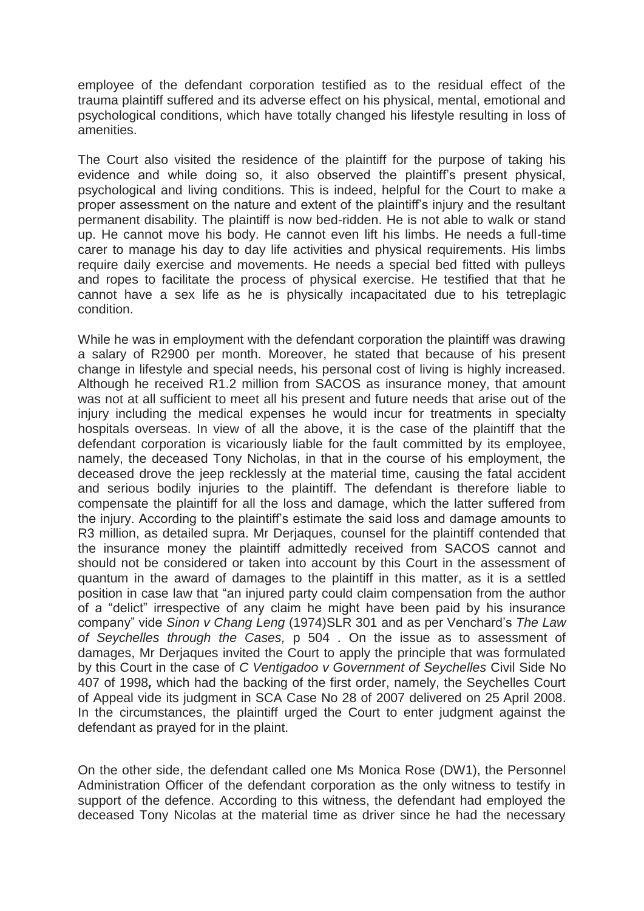employee of the defendant corporation testified as to the residual effect of the trauma plaintiff suffered and its adverse effect on his physical, mental, emotional and psychological conditions, which have totally changed his lifestyle resulting in loss of amenities.

The Court also visited the residence of the plaintiff for the purpose of taking his evidence and while doing so, it also observed the plaintiff's present physical, psychological and living conditions. This is indeed, helpful for the Court to make a proper assessment on the nature and extent of the plaintiff's injury and the resultant permanent disability. The plaintiff is now bed-ridden. He is not able to walk or stand up. He cannot move his body. He cannot even lift his limbs. He needs a full-time carer to manage his day to day life activities and physical requirements. His limbs require daily exercise and movements. He needs a special bed fitted with pulleys and ropes to facilitate the process of physical exercise. He testified that that he cannot have a sex life as he is physically incapacitated due to his tetreplagic condition.

While he was in employment with the defendant corporation the plaintiff was drawing a salary of R2900 per month. Moreover, he stated that because of his present change in lifestyle and special needs, his personal cost of living is highly increased. Although he received R1.2 million from SACOS as insurance money, that amount was not at all sufficient to meet all his present and future needs that arise out of the injury including the medical expenses he would incur for treatments in specialty hospitals overseas. In view of all the above, it is the case of the plaintiff that the defendant corporation is vicariously liable for the fault committed by its employee, namely, the deceased Tony Nicholas, in that in the course of his employment, the deceased drove the jeep recklessly at the material time, causing the fatal accident and serious bodily injuries to the plaintiff. The defendant is therefore liable to compensate the plaintiff for all the loss and damage, which the latter suffered from the injury. According to the plaintiff's estimate the said loss and damage amounts to R3 million, as detailed supra. Mr Derjaques, counsel for the plaintiff contended that the insurance money the plaintiff admittedly received from SACOS cannot and should not be considered or taken into account by this Court in the assessment of quantum in the award of damages to the plaintiff in this matter, as it is a settled position in case law that "an injured party could claim compensation from the author of a "delict" irrespective of any claim he might have been paid by his insurance company" vide *Sinon v Chang Leng* (1974)SLR 301 and as per Venchard's *The Law of Seychelles through the Cases,* p 504 . On the issue as to assessment of damages, Mr Derjaques invited the Court to apply the principle that was formulated by this Court in the case of *C Ventigadoo v Government of Seychelles* Civil Side No 407 of 1998*,* which had the backing of the first order, namely, the Seychelles Court of Appeal vide its judgment in SCA Case No 28 of 2007 delivered on 25 April 2008. In the circumstances, the plaintiff urged the Court to enter judgment against the defendant as prayed for in the plaint.

On the other side, the defendant called one Ms Monica Rose (DW1), the Personnel Administration Officer of the defendant corporation as the only witness to testify in support of the defence. According to this witness, the defendant had employed the deceased Tony Nicolas at the material time as driver since he had the necessary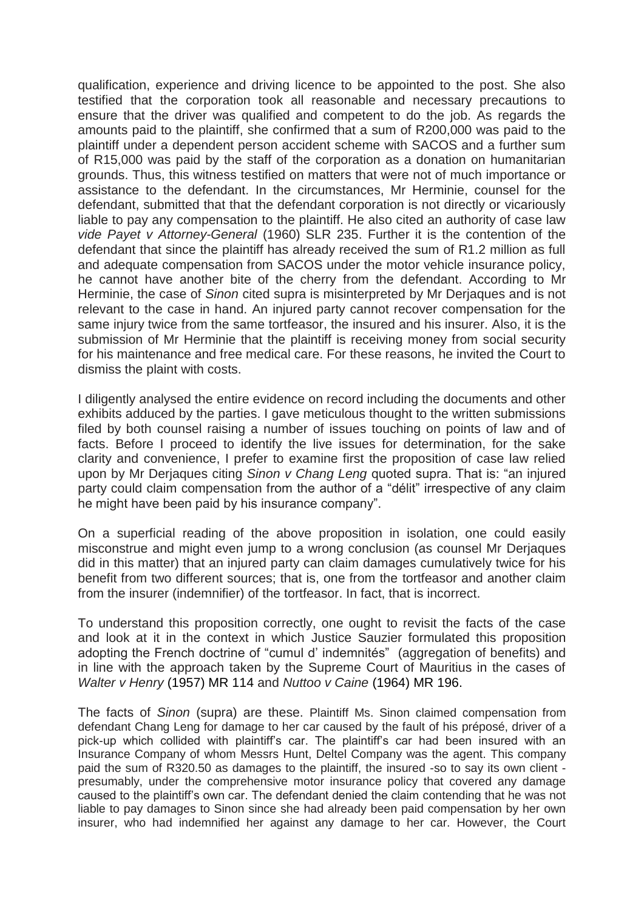qualification, experience and driving licence to be appointed to the post. She also testified that the corporation took all reasonable and necessary precautions to ensure that the driver was qualified and competent to do the job. As regards the amounts paid to the plaintiff, she confirmed that a sum of R200,000 was paid to the plaintiff under a dependent person accident scheme with SACOS and a further sum of R15,000 was paid by the staff of the corporation as a donation on humanitarian grounds. Thus, this witness testified on matters that were not of much importance or assistance to the defendant. In the circumstances, Mr Herminie, counsel for the defendant, submitted that that the defendant corporation is not directly or vicariously liable to pay any compensation to the plaintiff. He also cited an authority of case law *vide Payet v Attorney-General* (1960) SLR 235. Further it is the contention of the defendant that since the plaintiff has already received the sum of R1.2 million as full and adequate compensation from SACOS under the motor vehicle insurance policy, he cannot have another bite of the cherry from the defendant. According to Mr Herminie, the case of *Sinon* cited supra is misinterpreted by Mr Derjaques and is not relevant to the case in hand. An injured party cannot recover compensation for the same injury twice from the same tortfeasor, the insured and his insurer. Also, it is the submission of Mr Herminie that the plaintiff is receiving money from social security for his maintenance and free medical care. For these reasons, he invited the Court to dismiss the plaint with costs.

I diligently analysed the entire evidence on record including the documents and other exhibits adduced by the parties. I gave meticulous thought to the written submissions filed by both counsel raising a number of issues touching on points of law and of facts. Before I proceed to identify the live issues for determination, for the sake clarity and convenience, I prefer to examine first the proposition of case law relied upon by Mr Derjaques citing *Sinon v Chang Leng* quoted supra. That is: "an injured party could claim compensation from the author of a "délit" irrespective of any claim he might have been paid by his insurance company".

On a superficial reading of the above proposition in isolation, one could easily misconstrue and might even jump to a wrong conclusion (as counsel Mr Derjaques did in this matter) that an injured party can claim damages cumulatively twice for his benefit from two different sources; that is, one from the tortfeasor and another claim from the insurer (indemnifier) of the tortfeasor. In fact, that is incorrect.

To understand this proposition correctly, one ought to revisit the facts of the case and look at it in the context in which Justice Sauzier formulated this proposition adopting the French doctrine of "cumul d' indemnités" (aggregation of benefits) and in line with the approach taken by the Supreme Court of Mauritius in the cases of *Walter v Henry* (1957) MR 114 and *Nuttoo v Caine* (1964) MR 196.

The facts of *Sinon* (supra) are these. Plaintiff Ms. Sinon claimed compensation from defendant Chang Leng for damage to her car caused by the fault of his préposé, driver of a pick-up which collided with plaintiff's car. The plaintiff's car had been insured with an Insurance Company of whom Messrs Hunt, Deltel Company was the agent. This company paid the sum of R320.50 as damages to the plaintiff, the insured -so to say its own client presumably, under the comprehensive motor insurance policy that covered any damage caused to the plaintiff's own car. The defendant denied the claim contending that he was not liable to pay damages to Sinon since she had already been paid compensation by her own insurer, who had indemnified her against any damage to her car. However, the Court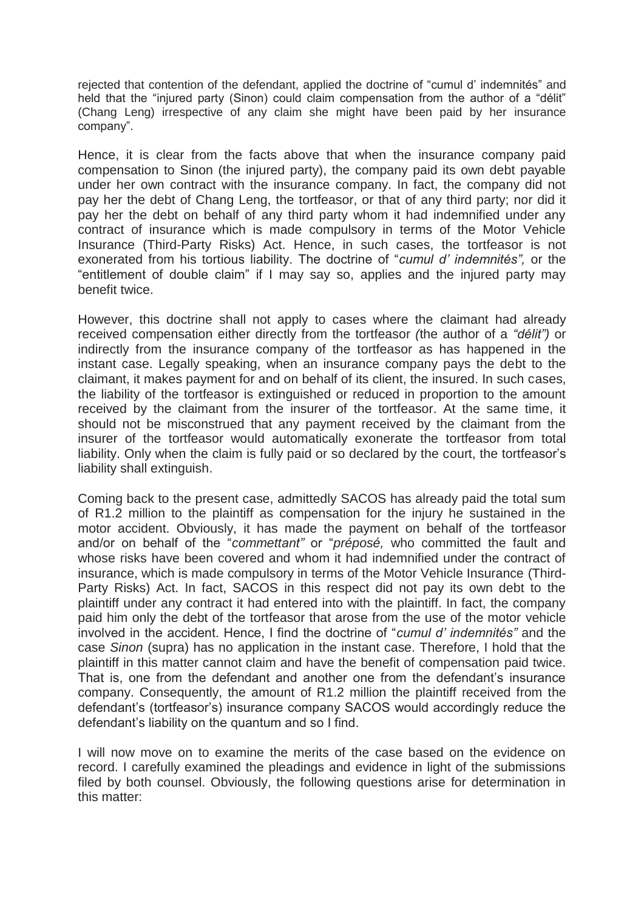rejected that contention of the defendant, applied the doctrine of "cumul d' indemnités" and held that the "injured party (Sinon) could claim compensation from the author of a "délit" (Chang Leng) irrespective of any claim she might have been paid by her insurance company".

Hence, it is clear from the facts above that when the insurance company paid compensation to Sinon (the injured party), the company paid its own debt payable under her own contract with the insurance company. In fact, the company did not pay her the debt of Chang Leng, the tortfeasor, or that of any third party; nor did it pay her the debt on behalf of any third party whom it had indemnified under any contract of insurance which is made compulsory in terms of the Motor Vehicle Insurance (Third-Party Risks) Act. Hence, in such cases, the tortfeasor is not exonerated from his tortious liability. The doctrine of "*cumul d' indemnités",* or the "entitlement of double claim" if I may say so, applies and the injured party may benefit twice.

However, this doctrine shall not apply to cases where the claimant had already received compensation either directly from the tortfeasor *(*the author of a *"délit")* or indirectly from the insurance company of the tortfeasor as has happened in the instant case. Legally speaking, when an insurance company pays the debt to the claimant, it makes payment for and on behalf of its client, the insured. In such cases, the liability of the tortfeasor is extinguished or reduced in proportion to the amount received by the claimant from the insurer of the tortfeasor. At the same time, it should not be misconstrued that any payment received by the claimant from the insurer of the tortfeasor would automatically exonerate the tortfeasor from total liability. Only when the claim is fully paid or so declared by the court, the tortfeasor's liability shall extinguish.

Coming back to the present case, admittedly SACOS has already paid the total sum of R1.2 million to the plaintiff as compensation for the injury he sustained in the motor accident. Obviously, it has made the payment on behalf of the tortfeasor and/or on behalf of the "*commettant"* or "*préposé,* who committed the fault and whose risks have been covered and whom it had indemnified under the contract of insurance, which is made compulsory in terms of the Motor Vehicle Insurance (Third-Party Risks) Act. In fact, SACOS in this respect did not pay its own debt to the plaintiff under any contract it had entered into with the plaintiff. In fact, the company paid him only the debt of the tortfeasor that arose from the use of the motor vehicle involved in the accident. Hence, I find the doctrine of "*cumul d' indemnités"* and the case *Sinon* (supra) has no application in the instant case. Therefore, I hold that the plaintiff in this matter cannot claim and have the benefit of compensation paid twice. That is, one from the defendant and another one from the defendant's insurance company. Consequently, the amount of R1.2 million the plaintiff received from the defendant's (tortfeasor's) insurance company SACOS would accordingly reduce the defendant's liability on the quantum and so I find.

I will now move on to examine the merits of the case based on the evidence on record. I carefully examined the pleadings and evidence in light of the submissions filed by both counsel. Obviously, the following questions arise for determination in this matter: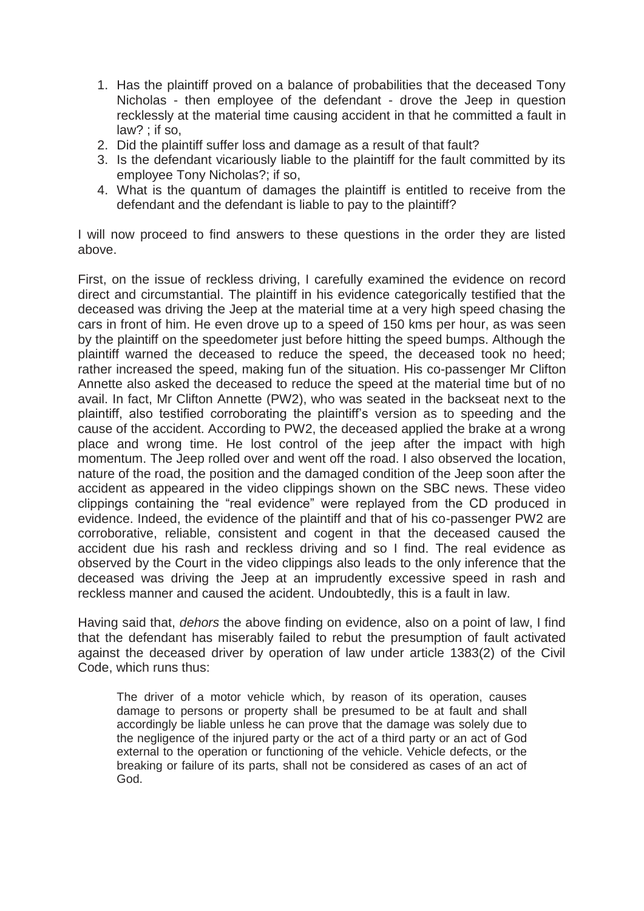- 1. Has the plaintiff proved on a balance of probabilities that the deceased Tony Nicholas - then employee of the defendant - drove the Jeep in question recklessly at the material time causing accident in that he committed a fault in law? ; if so,
- 2. Did the plaintiff suffer loss and damage as a result of that fault?
- 3. Is the defendant vicariously liable to the plaintiff for the fault committed by its employee Tony Nicholas?; if so,
- 4. What is the quantum of damages the plaintiff is entitled to receive from the defendant and the defendant is liable to pay to the plaintiff?

I will now proceed to find answers to these questions in the order they are listed above.

First, on the issue of reckless driving, I carefully examined the evidence on record direct and circumstantial. The plaintiff in his evidence categorically testified that the deceased was driving the Jeep at the material time at a very high speed chasing the cars in front of him. He even drove up to a speed of 150 kms per hour, as was seen by the plaintiff on the speedometer just before hitting the speed bumps. Although the plaintiff warned the deceased to reduce the speed, the deceased took no heed; rather increased the speed, making fun of the situation. His co-passenger Mr Clifton Annette also asked the deceased to reduce the speed at the material time but of no avail. In fact, Mr Clifton Annette (PW2), who was seated in the backseat next to the plaintiff, also testified corroborating the plaintiff's version as to speeding and the cause of the accident. According to PW2, the deceased applied the brake at a wrong place and wrong time. He lost control of the jeep after the impact with high momentum. The Jeep rolled over and went off the road. I also observed the location, nature of the road, the position and the damaged condition of the Jeep soon after the accident as appeared in the video clippings shown on the SBC news. These video clippings containing the "real evidence" were replayed from the CD produced in evidence. Indeed, the evidence of the plaintiff and that of his co-passenger PW2 are corroborative, reliable, consistent and cogent in that the deceased caused the accident due his rash and reckless driving and so I find. The real evidence as observed by the Court in the video clippings also leads to the only inference that the deceased was driving the Jeep at an imprudently excessive speed in rash and reckless manner and caused the acident. Undoubtedly, this is a fault in law.

Having said that, *dehors* the above finding on evidence, also on a point of law, I find that the defendant has miserably failed to rebut the presumption of fault activated against the deceased driver by operation of law under article 1383(2) of the Civil Code, which runs thus:

The driver of a motor vehicle which, by reason of its operation, causes damage to persons or property shall be presumed to be at fault and shall accordingly be liable unless he can prove that the damage was solely due to the negligence of the injured party or the act of a third party or an act of God external to the operation or functioning of the vehicle. Vehicle defects, or the breaking or failure of its parts, shall not be considered as cases of an act of God.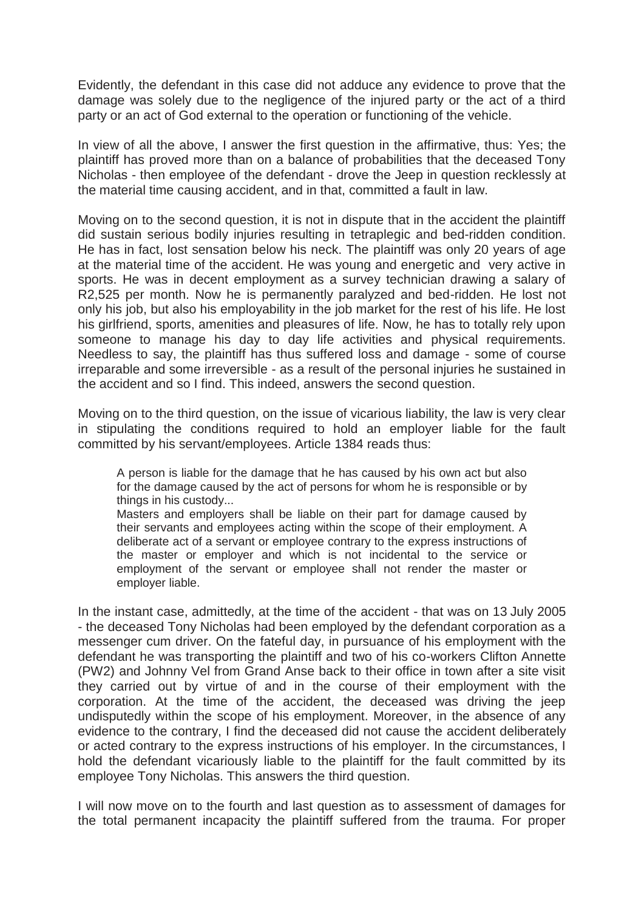Evidently, the defendant in this case did not adduce any evidence to prove that the damage was solely due to the negligence of the injured party or the act of a third party or an act of God external to the operation or functioning of the vehicle.

In view of all the above, I answer the first question in the affirmative, thus: Yes; the plaintiff has proved more than on a balance of probabilities that the deceased Tony Nicholas - then employee of the defendant - drove the Jeep in question recklessly at the material time causing accident, and in that, committed a fault in law.

Moving on to the second question, it is not in dispute that in the accident the plaintiff did sustain serious bodily injuries resulting in tetraplegic and bed-ridden condition. He has in fact, lost sensation below his neck. The plaintiff was only 20 years of age at the material time of the accident. He was young and energetic and very active in sports. He was in decent employment as a survey technician drawing a salary of R2,525 per month. Now he is permanently paralyzed and bed-ridden. He lost not only his job, but also his employability in the job market for the rest of his life. He lost his girlfriend, sports, amenities and pleasures of life. Now, he has to totally rely upon someone to manage his day to day life activities and physical requirements. Needless to say, the plaintiff has thus suffered loss and damage - some of course irreparable and some irreversible - as a result of the personal injuries he sustained in the accident and so I find. This indeed, answers the second question.

Moving on to the third question, on the issue of vicarious liability, the law is very clear in stipulating the conditions required to hold an employer liable for the fault committed by his servant/employees. Article 1384 reads thus:

A person is liable for the damage that he has caused by his own act but also for the damage caused by the act of persons for whom he is responsible or by things in his custody...

Masters and employers shall be liable on their part for damage caused by their servants and employees acting within the scope of their employment. A deliberate act of a servant or employee contrary to the express instructions of the master or employer and which is not incidental to the service or employment of the servant or employee shall not render the master or employer liable.

In the instant case, admittedly, at the time of the accident - that was on 13 July 2005 - the deceased Tony Nicholas had been employed by the defendant corporation as a messenger cum driver. On the fateful day, in pursuance of his employment with the defendant he was transporting the plaintiff and two of his co-workers Clifton Annette (PW2) and Johnny Vel from Grand Anse back to their office in town after a site visit they carried out by virtue of and in the course of their employment with the corporation. At the time of the accident, the deceased was driving the jeep undisputedly within the scope of his employment. Moreover, in the absence of any evidence to the contrary, I find the deceased did not cause the accident deliberately or acted contrary to the express instructions of his employer. In the circumstances, I hold the defendant vicariously liable to the plaintiff for the fault committed by its employee Tony Nicholas. This answers the third question.

I will now move on to the fourth and last question as to assessment of damages for the total permanent incapacity the plaintiff suffered from the trauma. For proper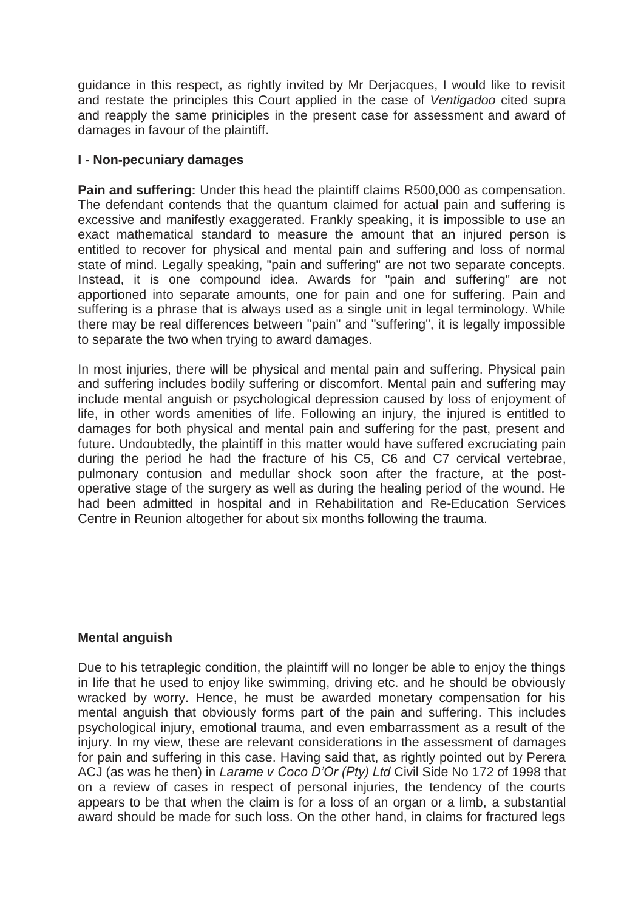guidance in this respect, as rightly invited by Mr Derjacques, I would like to revisit and restate the principles this Court applied in the case of *Ventigadoo* cited supra and reapply the same priniciples in the present case for assessment and award of damages in favour of the plaintiff.

## **I** - **Non-pecuniary damages**

**Pain and suffering:** Under this head the plaintiff claims R500,000 as compensation. The defendant contends that the quantum claimed for actual pain and suffering is excessive and manifestly exaggerated. Frankly speaking, it is impossible to use an exact mathematical standard to measure the amount that an injured person is entitled to recover for physical and mental pain and suffering and loss of normal state of mind. Legally speaking, "pain and suffering" are not two separate concepts. Instead, it is one compound idea. Awards for "pain and suffering" are not apportioned into separate amounts, one for pain and one for suffering. Pain and suffering is a phrase that is always used as a single unit in legal terminology. While there may be real differences between "pain" and "suffering", it is legally impossible to separate the two when trying to award damages.

In most injuries, there will be physical and mental pain and suffering. Physical pain and suffering includes bodily suffering or discomfort. Mental pain and suffering may include mental anguish or psychological depression caused by loss of enjoyment of life, in other words amenities of life. Following an injury, the injured is entitled to damages for both physical and mental pain and suffering for the past, present and future. Undoubtedly, the plaintiff in this matter would have suffered excruciating pain during the period he had the fracture of his C5, C6 and C7 cervical vertebrae, pulmonary contusion and medullar shock soon after the fracture, at the postoperative stage of the surgery as well as during the healing period of the wound. He had been admitted in hospital and in Rehabilitation and Re-Education Services Centre in Reunion altogether for about six months following the trauma.

## **Mental anguish**

Due to his tetraplegic condition, the plaintiff will no longer be able to enjoy the things in life that he used to enjoy like swimming, driving etc. and he should be obviously wracked by worry. Hence, he must be awarded monetary compensation for his mental anguish that obviously forms part of the pain and suffering. This includes psychological injury, emotional trauma, and even embarrassment as a result of the injury. In my view, these are relevant considerations in the assessment of damages for pain and suffering in this case. Having said that, as rightly pointed out by Perera ACJ (as was he then) in *Larame v Coco D'Or (Pty) Ltd* Civil Side No 172 of 1998 that on a review of cases in respect of personal injuries, the tendency of the courts appears to be that when the claim is for a loss of an organ or a limb, a substantial award should be made for such loss. On the other hand, in claims for fractured legs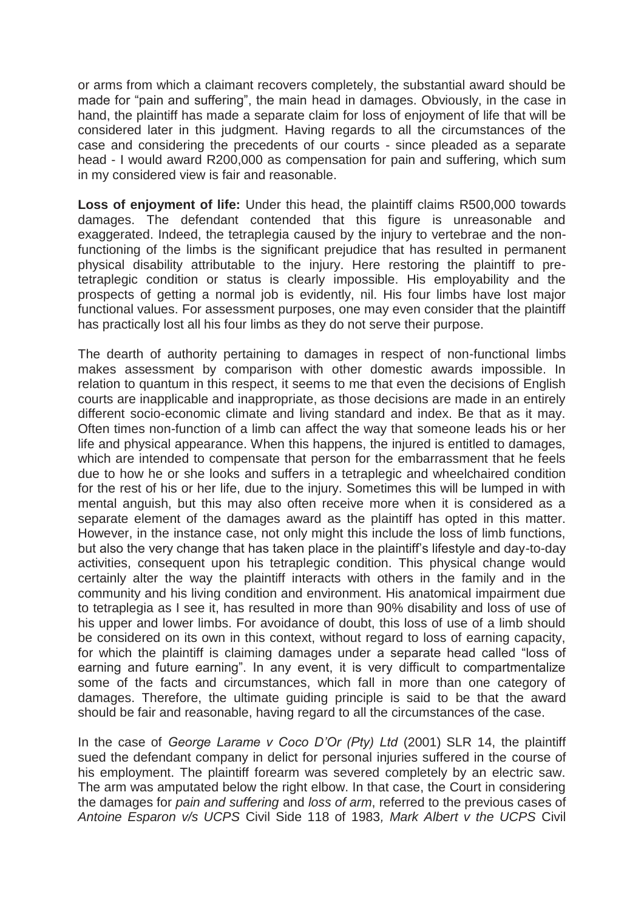or arms from which a claimant recovers completely, the substantial award should be made for "pain and suffering", the main head in damages. Obviously, in the case in hand, the plaintiff has made a separate claim for loss of enjoyment of life that will be considered later in this judgment. Having regards to all the circumstances of the case and considering the precedents of our courts - since pleaded as a separate head - I would award R200,000 as compensation for pain and suffering, which sum in my considered view is fair and reasonable.

**Loss of enjoyment of life:** Under this head, the plaintiff claims R500,000 towards damages. The defendant contended that this figure is unreasonable and exaggerated. Indeed, the tetraplegia caused by the injury to vertebrae and the nonfunctioning of the limbs is the significant prejudice that has resulted in permanent physical disability attributable to the injury. Here restoring the plaintiff to pretetraplegic condition or status is clearly impossible. His employability and the prospects of getting a normal job is evidently, nil. His four limbs have lost major functional values. For assessment purposes, one may even consider that the plaintiff has practically lost all his four limbs as they do not serve their purpose.

The dearth of authority pertaining to damages in respect of non-functional limbs makes assessment by comparison with other domestic awards impossible. In relation to quantum in this respect, it seems to me that even the decisions of English courts are inapplicable and inappropriate, as those decisions are made in an entirely different socio-economic climate and living standard and index. Be that as it may. Often times non-function of a limb can affect the way that someone leads his or her life and physical appearance. When this happens, the injured is entitled to damages, which are intended to compensate that person for the embarrassment that he feels due to how he or she looks and suffers in a tetraplegic and wheelchaired condition for the rest of his or her life, due to the injury. Sometimes this will be lumped in with mental anguish, but this may also often receive more when it is considered as a separate element of the damages award as the plaintiff has opted in this matter. However, in the instance case, not only might this include the loss of limb functions, but also the very change that has taken place in the plaintiff's lifestyle and day-to-day activities, consequent upon his tetraplegic condition. This physical change would certainly alter the way the plaintiff interacts with others in the family and in the community and his living condition and environment. His anatomical impairment due to tetraplegia as I see it, has resulted in more than 90% disability and loss of use of his upper and lower limbs. For avoidance of doubt, this loss of use of a limb should be considered on its own in this context, without regard to loss of earning capacity, for which the plaintiff is claiming damages under a separate head called "loss of earning and future earning". In any event, it is very difficult to compartmentalize some of the facts and circumstances, which fall in more than one category of damages. Therefore, the ultimate guiding principle is said to be that the award should be fair and reasonable, having regard to all the circumstances of the case.

In the case of *George Larame v Coco D'Or (Pty) Ltd* (2001) SLR 14, the plaintiff sued the defendant company in delict for personal injuries suffered in the course of his employment. The plaintiff forearm was severed completely by an electric saw. The arm was amputated below the right elbow. In that case, the Court in considering the damages for *pain and suffering* and *loss of arm*, referred to the previous cases of *Antoine Esparon v/s UCPS* Civil Side 118 of 1983*, Mark Albert v the UCPS* Civil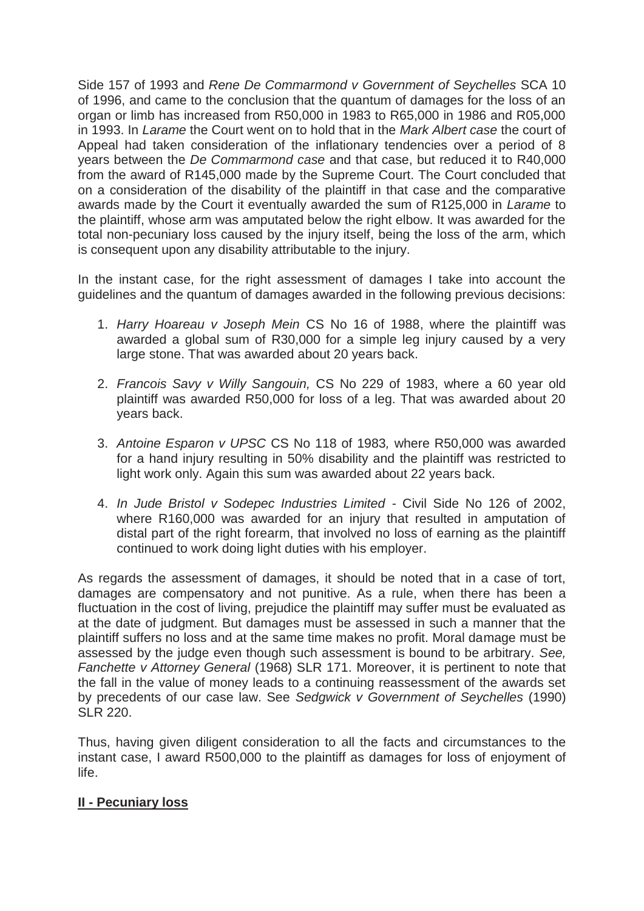Side 157 of 1993 and *Rene De Commarmond v Government of Seychelles* SCA 10 of 1996, and came to the conclusion that the quantum of damages for the loss of an organ or limb has increased from R50,000 in 1983 to R65,000 in 1986 and R05,000 in 1993. In *Larame* the Court went on to hold that in the *Mark Albert case* the court of Appeal had taken consideration of the inflationary tendencies over a period of 8 years between the *De Commarmond case* and that case, but reduced it to R40,000 from the award of R145,000 made by the Supreme Court. The Court concluded that on a consideration of the disability of the plaintiff in that case and the comparative awards made by the Court it eventually awarded the sum of R125,000 in *Larame* to the plaintiff, whose arm was amputated below the right elbow. It was awarded for the total non-pecuniary loss caused by the injury itself, being the loss of the arm, which is consequent upon any disability attributable to the injury.

In the instant case, for the right assessment of damages I take into account the guidelines and the quantum of damages awarded in the following previous decisions:

- 1. *Harry Hoareau v Joseph Mein* CS No 16 of 1988, where the plaintiff was awarded a global sum of R30,000 for a simple leg injury caused by a very large stone. That was awarded about 20 years back.
- 2. *Francois Savy v Willy Sangouin,* CS No 229 of 1983, where a 60 year old plaintiff was awarded R50,000 for loss of a leg. That was awarded about 20 years back.
- 3. *Antoine Esparon v UPSC* CS No 118 of 1983*,* where R50,000 was awarded for a hand injury resulting in 50% disability and the plaintiff was restricted to light work only. Again this sum was awarded about 22 years back.
- 4. *In Jude Bristol v Sodepec Industries Limited -* Civil Side No 126 of 2002, where R160,000 was awarded for an injury that resulted in amputation of distal part of the right forearm, that involved no loss of earning as the plaintiff continued to work doing light duties with his employer.

As regards the assessment of damages, it should be noted that in a case of tort, damages are compensatory and not punitive. As a rule, when there has been a fluctuation in the cost of living, prejudice the plaintiff may suffer must be evaluated as at the date of judgment. But damages must be assessed in such a manner that the plaintiff suffers no loss and at the same time makes no profit. Moral damage must be assessed by the judge even though such assessment is bound to be arbitrary. *See, Fanchette v Attorney General* (1968) SLR 171. Moreover, it is pertinent to note that the fall in the value of money leads to a continuing reassessment of the awards set by precedents of our case law. See *Sedgwick v Government of Seychelles* (1990) SLR 220.

Thus, having given diligent consideration to all the facts and circumstances to the instant case, I award R500,000 to the plaintiff as damages for loss of enjoyment of life.

# **II - Pecuniary loss**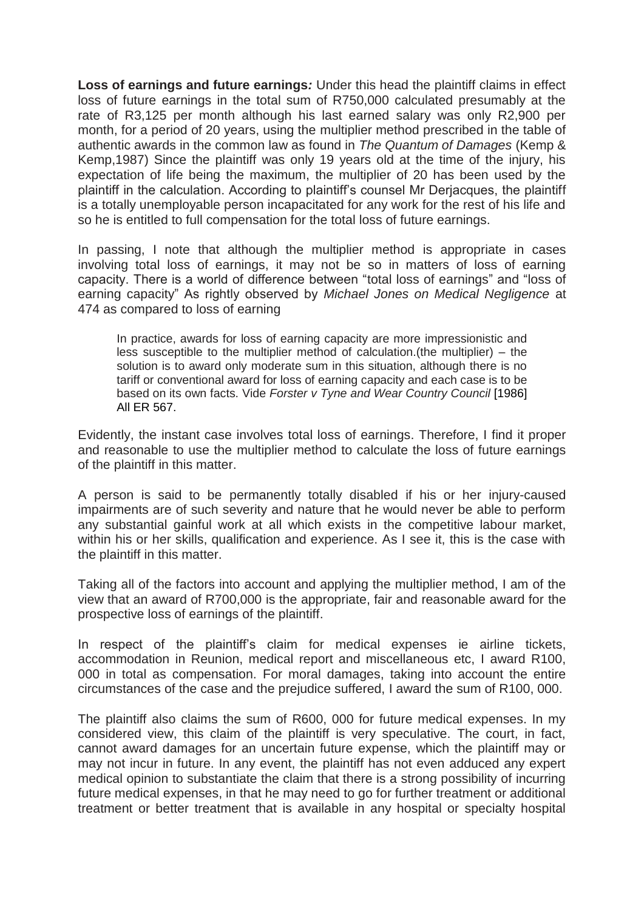**Loss of earnings and future earnings***:* Under this head the plaintiff claims in effect loss of future earnings in the total sum of R750,000 calculated presumably at the rate of R3,125 per month although his last earned salary was only R2,900 per month, for a period of 20 years, using the multiplier method prescribed in the table of authentic awards in the common law as found in *The Quantum of Damages* (Kemp & Kemp,1987) Since the plaintiff was only 19 years old at the time of the injury, his expectation of life being the maximum, the multiplier of 20 has been used by the plaintiff in the calculation. According to plaintiff's counsel Mr Derjacques, the plaintiff is a totally unemployable person incapacitated for any work for the rest of his life and so he is entitled to full compensation for the total loss of future earnings.

In passing, I note that although the multiplier method is appropriate in cases involving total loss of earnings, it may not be so in matters of loss of earning capacity. There is a world of difference between "total loss of earnings" and "loss of earning capacity" As rightly observed by *Michael Jones on Medical Negligence* at 474 as compared to loss of earning

In practice, awards for loss of earning capacity are more impressionistic and less susceptible to the multiplier method of calculation.(the multiplier) – the solution is to award only moderate sum in this situation, although there is no tariff or conventional award for loss of earning capacity and each case is to be based on its own facts. Vide *Forster v Tyne and Wear Country Council* [1986] All ER 567.

Evidently, the instant case involves total loss of earnings. Therefore, I find it proper and reasonable to use the multiplier method to calculate the loss of future earnings of the plaintiff in this matter.

A person is said to be permanently totally disabled if his or her injury-caused impairments are of such severity and nature that he would never be able to perform any substantial gainful work at all which exists in the competitive labour market, within his or her skills, qualification and experience. As I see it, this is the case with the plaintiff in this matter.

Taking all of the factors into account and applying the multiplier method, I am of the view that an award of R700,000 is the appropriate, fair and reasonable award for the prospective loss of earnings of the plaintiff.

In respect of the plaintiff's claim for medical expenses ie airline tickets, accommodation in Reunion, medical report and miscellaneous etc, I award R100, 000 in total as compensation. For moral damages, taking into account the entire circumstances of the case and the prejudice suffered, I award the sum of R100, 000.

The plaintiff also claims the sum of R600, 000 for future medical expenses. In my considered view, this claim of the plaintiff is very speculative. The court, in fact, cannot award damages for an uncertain future expense, which the plaintiff may or may not incur in future. In any event, the plaintiff has not even adduced any expert medical opinion to substantiate the claim that there is a strong possibility of incurring future medical expenses, in that he may need to go for further treatment or additional treatment or better treatment that is available in any hospital or specialty hospital